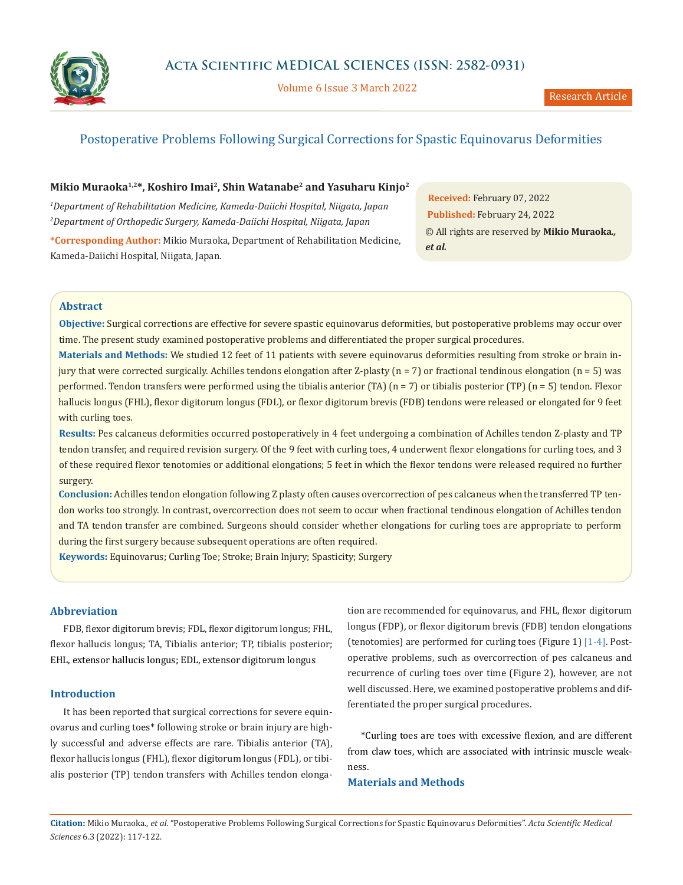

Volume 6 Issue 3 March 2022

# Postoperative Problems Following Surgical Corrections for Spastic Equinovarus Deformities

## **Mikio Muraoka1,2\*, Koshiro Imai2, Shin Watanabe2 and Yasuharu Kinjo2**

*1 Department of Rehabilitation Medicine, Kameda-Daiichi Hospital, Niigata, Japan 2 Department of Orthopedic Surgery, Kameda-Daiichi Hospital, Niigata, Japan* **\*Corresponding Author:** Mikio Muraoka, Department of Rehabilitation Medicine, Kameda-Daiichi Hospital, Niigata, Japan.

**Received:** February 07, 2022 **Published:** February 24, 2022 © All rights are reserved by **Mikio Muraoka***., et al.*

## **Abstract**

**Objective:** Surgical corrections are effective for severe spastic equinovarus deformities, but postoperative problems may occur over time. The present study examined postoperative problems and differentiated the proper surgical procedures.

**Materials and Methods:** We studied 12 feet of 11 patients with severe equinovarus deformities resulting from stroke or brain injury that were corrected surgically. Achilles tendons elongation after Z-plasty (n = 7) or fractional tendinous elongation (n = 5) was performed. Tendon transfers were performed using the tibialis anterior (TA) (n = 7) or tibialis posterior (TP) (n = 5) tendon. Flexor hallucis longus (FHL), flexor digitorum longus (FDL), or flexor digitorum brevis (FDB) tendons were released or elongated for 9 feet with curling toes.

**Results:** Pes calcaneus deformities occurred postoperatively in 4 feet undergoing a combination of Achilles tendon Z-plasty and TP tendon transfer, and required revision surgery. Of the 9 feet with curling toes, 4 underwent flexor elongations for curling toes, and 3 of these required flexor tenotomies or additional elongations; 5 feet in which the flexor tendons were released required no further surgery.

**Conclusion:** Achilles tendon elongation following Z plasty often causes overcorrection of pes calcaneus when the transferred TP tendon works too strongly. In contrast, overcorrection does not seem to occur when fractional tendinous elongation of Achilles tendon and TA tendon transfer are combined. Surgeons should consider whether elongations for curling toes are appropriate to perform during the first surgery because subsequent operations are often required.

**Keywords:** Equinovarus; Curling Toe; Stroke; Brain Injury; Spasticity; Surgery

### **Abbreviation**

FDB, flexor digitorum brevis; FDL, flexor digitorum longus; FHL, flexor hallucis longus; TA, Tibialis anterior; TP, tibialis posterior; EHL, extensor hallucis longus; EDL, extensor digitorum longus

## **Introduction**

It has been reported that surgical corrections for severe equinovarus and curling toes\* following stroke or brain injury are highly successful and adverse effects are rare. Tibialis anterior (TA), flexor hallucis longus (FHL), flexor digitorum longus (FDL), or tibialis posterior (TP) tendon transfers with Achilles tendon elongation are recommended for equinovarus, and FHL, flexor digitorum longus (FDP), or flexor digitorum brevis (FDB) tendon elongations (tenotomies) are performed for curling toes (Figure 1) [1-4]. Postoperative problems, such as overcorrection of pes calcaneus and recurrence of curling toes over time (Figure 2), however, are not well discussed. Here, we examined postoperative problems and differentiated the proper surgical procedures.

\*Curling toes are toes with excessive flexion, and are different from claw toes, which are associated with intrinsic muscle weakness.

### **Materials and Methods**

**Citation:** Mikio Muraoka*., et al.* "Postoperative Problems Following Surgical Corrections for Spastic Equinovarus Deformities". *Acta Scientific Medical Sciences* 6.3 (2022): 117-122.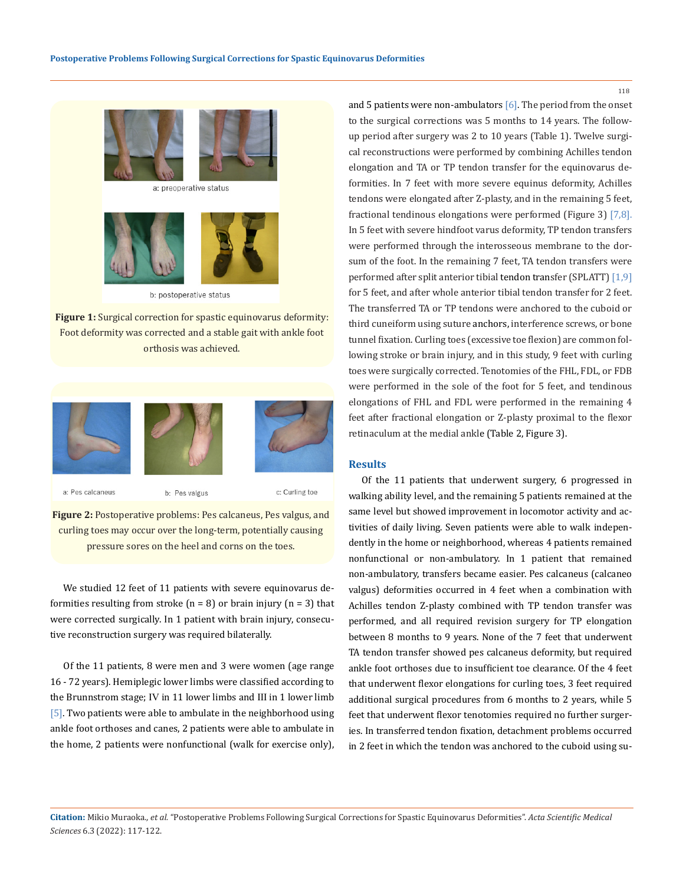



b: postoperative status

**Figure 1:** Surgical correction for spastic equinovarus deformity: Foot deformity was corrected and a stable gait with ankle foot orthosis was achieved.



**Figure 2:** Postoperative problems: Pes calcaneus, Pes valgus, and curling toes may occur over the long-term, potentially causing pressure sores on the heel and corns on the toes.

We studied 12 feet of 11 patients with severe equinovarus deformities resulting from stroke  $(n = 8)$  or brain injury  $(n = 3)$  that were corrected surgically. In 1 patient with brain injury, consecutive reconstruction surgery was required bilaterally.

Of the 11 patients, 8 were men and 3 were women (age range 16 - 72 years). Hemiplegic lower limbs were classified according to the Brunnstrom stage; Ⅳ in 11 lower limbs and Ⅲ in 1 lower limb [5]. Two patients were able to ambulate in the neighborhood using ankle foot orthoses and canes, 2 patients were able to ambulate in the home, 2 patients were nonfunctional (walk for exercise only), and 5 patients were non-ambulators  $[6]$ . The period from the onset to the surgical corrections was 5 months to 14 years. The followup period after surgery was 2 to 10 years (Table 1). Twelve surgical reconstructions were performed by combining Achilles tendon elongation and TA or TP tendon transfer for the equinovarus deformities. In 7 feet with more severe equinus deformity, Achilles tendons were elongated after Z-plasty, and in the remaining 5 feet, fractional tendinous elongations were performed (Figure 3) [7,8]. In 5 feet with severe hindfoot varus deformity, TP tendon transfers were performed through the interosseous membrane to the dorsum of the foot. In the remaining 7 feet, TA tendon transfers were performed after split anterior tibial tendon transfer (SPLATT) [1,9] for 5 feet, and after whole anterior tibial tendon transfer for 2 feet. The transferred TA or TP tendons were anchored to the cuboid or third cuneiform using suture anchors, interference screws, or bone tunnel fixation. Curling toes (excessive toe flexion) are common following stroke or brain injury, and in this study, 9 feet with curling toes were surgically corrected. Tenotomies of the FHL, FDL, or FDB were performed in the sole of the foot for 5 feet, and tendinous elongations of FHL and FDL were performed in the remaining 4 feet after fractional elongation or Z-plasty proximal to the flexor retinaculum at the medial ankle (Table 2, Figure 3).

### **Results**

Of the 11 patients that underwent surgery, 6 progressed in walking ability level, and the remaining 5 patients remained at the same level but showed improvement in locomotor activity and activities of daily living. Seven patients were able to walk independently in the home or neighborhood, whereas 4 patients remained nonfunctional or non-ambulatory. In 1 patient that remained non-ambulatory, transfers became easier. Pes calcaneus (calcaneo valgus) deformities occurred in 4 feet when a combination with Achilles tendon Z-plasty combined with TP tendon transfer was performed, and all required revision surgery for TP elongation between 8 months to 9 years. None of the 7 feet that underwent TA tendon transfer showed pes calcaneus deformity, but required ankle foot orthoses due to insufficient toe clearance. Of the 4 feet that underwent flexor elongations for curling toes, 3 feet required additional surgical procedures from 6 months to 2 years, while 5 feet that underwent flexor tenotomies required no further surgeries. In transferred tendon fixation, detachment problems occurred in 2 feet in which the tendon was anchored to the cuboid using su-

**Citation:** Mikio Muraoka*., et al.* "Postoperative Problems Following Surgical Corrections for Spastic Equinovarus Deformities". *Acta Scientific Medical Sciences* 6.3 (2022): 117-122.

118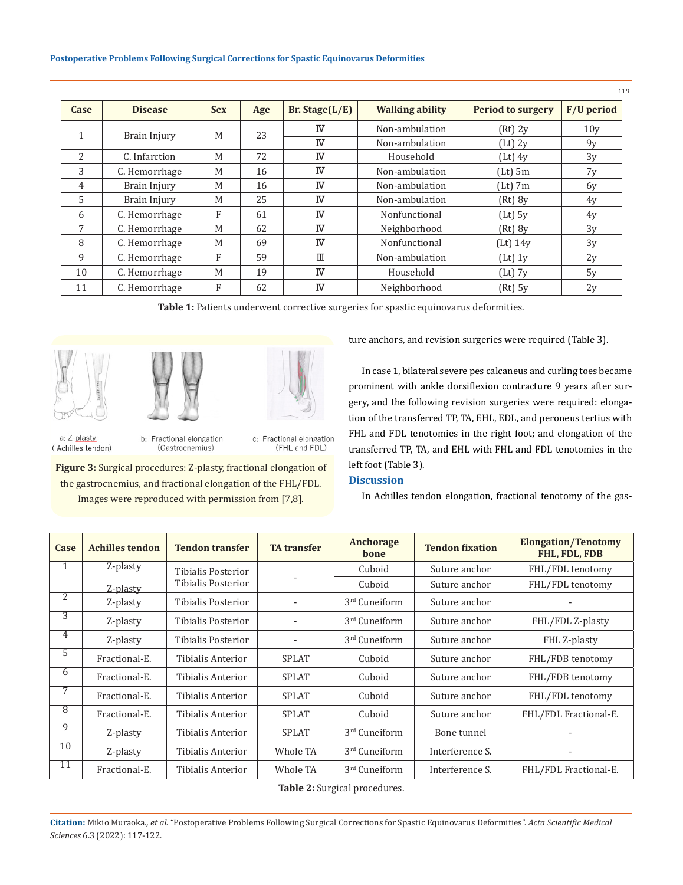| Case           | <b>Disease</b> | <b>Sex</b> | Age | Br. Stage $(L/E)$                                 | <b>Walking ability</b> | <b>Period to surgery</b> | $F/U$ period    |
|----------------|----------------|------------|-----|---------------------------------------------------|------------------------|--------------------------|-----------------|
| 1              | Brain Injury   | M          | 23  | IV                                                | Non-ambulation         | $(Rt)$ 2y                | 10 <sub>V</sub> |
|                |                |            |     | IV                                                | Non-ambulation         | $(Lt)$ 2y                | 9y              |
| $\overline{2}$ | C. Infarction  | M          | 72  | <b>IV</b>                                         | Household              | $(Lt)$ 4y                | 3y              |
| 3              | C. Hemorrhage  | M          | 16  | IV                                                | Non-ambulation         | $(Lt)$ 5m                | 7y              |
| $\overline{4}$ | Brain Injury   | M          | 16  | IV                                                | Non-ambulation         | $(Lt)$ 7m                | 6y              |
| $\overline{5}$ | Brain Injury   | M          | 25  | <b>IV</b>                                         | Non-ambulation         | $(Rt)$ $8y$              | 4v              |
| 6              | C. Hemorrhage  | F          | 61  | <b>IV</b>                                         | Nonfunctional          | $(Lt)$ 5y                | 4y              |
| 7              | C. Hemorrhage  | M          | 62  | IV                                                | Neighborhood           | $(Rt)$ $8y$              | 3y              |
| 8              | C. Hemorrhage  | M          | 69  | IV                                                | Nonfunctional          | $(Lt)$ 14y               | 3v              |
| 9              | C. Hemorrhage  | F          | 59  | $\scriptstyle\rm I\hspace{-.1em}I\hspace{-.1em}I$ | Non-ambulation         | $(Lt)$ 1y                | 2y              |
| 10             | C. Hemorrhage  | M          | 19  | <b>IV</b>                                         | Household              | $(Lt)$ 7y                | 5y              |
| 11             | C. Hemorrhage  | F          | 62  | <b>IV</b>                                         | Neighborhood           | $(Rt)$ 5y                | 2y              |

**Table 1:** Patients underwent corrective surgeries for spastic equinovarus deformities.







a: Z-plasty (Achilles tendon)

b: Fractional elongation (Gastrocnemius)

c: Fractional elongation (FHL and FDL)

**Figure 3:** Surgical procedures: Z-plasty, fractional elongation of the gastrocnemius, and fractional elongation of the FHL/FDL. Images were reproduced with permission from [7,8].

ture anchors, and revision surgeries were required (Table 3).

In case 1, bilateral severe pes calcaneus and curling toes became prominent with ankle dorsiflexion contracture 9 years after surgery, and the following revision surgeries were required: elongation of the transferred TP, TA, EHL, EDL, and peroneus tertius with FHL and FDL tenotomies in the right foot; and elongation of the transferred TP, TA, and EHL with FHL and FDL tenotomies in the left foot (Table 3).

## **Discussion**

In Achilles tendon elongation, fractional tenotomy of the gas-

| Case           | <b>Achilles tendon</b> | <b>Tendon transfer</b>   | <b>TA</b> transfer | Anchorage<br>bone | <b>Tendon fixation</b> | <b>Elongation/Tenotomy</b><br>FHL, FDL, FDB |  |
|----------------|------------------------|--------------------------|--------------------|-------------------|------------------------|---------------------------------------------|--|
| 1              | Z-plasty               | Tibialis Posterior       |                    | Cuboid            | Suture anchor          | FHL/FDL tenotomy                            |  |
|                | Z-plasty               | Tibialis Posterior       |                    | Cuboid            | Suture anchor          | FHL/FDL tenotomy                            |  |
| 2              | Z-plasty               | Tibialis Posterior       |                    | 3rd Cuneiform     | Suture anchor          |                                             |  |
| $\overline{3}$ | Z-plasty               | Tibialis Posterior       |                    | 3rd Cuneiform     | Suture anchor          | FHL/FDL Z-plasty                            |  |
| 4              | Z-plasty               | Tibialis Posterior       |                    | 3rd Cuneiform     | Suture anchor          | FHL Z-plasty                                |  |
| 5              | Fractional-E.          | Tibialis Anterior        | <b>SPLAT</b>       | Cuboid            | Suture anchor          | FHL/FDB tenotomy                            |  |
| 6              | Fractional-E.          | Tibialis Anterior        | <b>SPLAT</b>       | Cuboid            | Suture anchor          | FHL/FDB tenotomy                            |  |
| 7              | Fractional-E.          | Tibialis Anterior        | <b>SPLAT</b>       | Cuboid            | Suture anchor          | FHL/FDL tenotomy                            |  |
| $\overline{8}$ | Fractional-E.          | Tibialis Anterior        | <b>SPLAT</b>       | Cuboid            | Suture anchor          | FHL/FDL Fractional-E.                       |  |
| 9              | Z-plasty               | Tibialis Anterior        | <b>SPLAT</b>       | 3rd Cuneiform     | Bone tunnel            |                                             |  |
| 10             | Z-plasty               | Tibialis Anterior        | Whole TA           | 3rd Cuneiform     | Interference S.        |                                             |  |
| 11             | Fractional-E.          | <b>Tibialis Anterior</b> | Whole TA           | 3rd Cuneiform     | Interference S.        | FHL/FDL Fractional-E.                       |  |

**Table 2:** Surgical procedures.

**Citation:** Mikio Muraoka*., et al.* "Postoperative Problems Following Surgical Corrections for Spastic Equinovarus Deformities". *Acta Scientific Medical Sciences* 6.3 (2022): 117-122.

119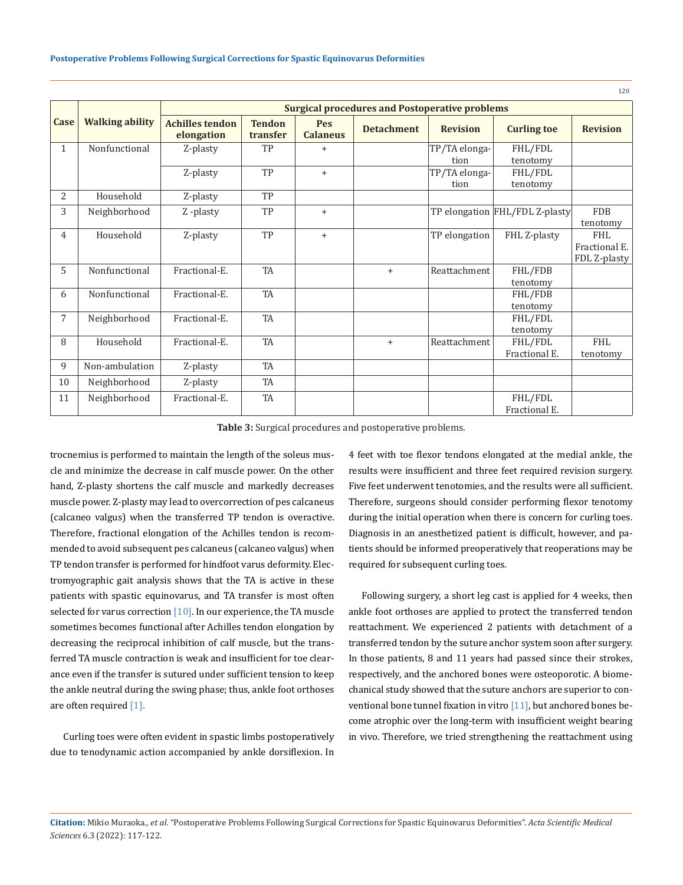|                |                        |                                                       |                           |                               |                   |                 |                                | 120             |  |
|----------------|------------------------|-------------------------------------------------------|---------------------------|-------------------------------|-------------------|-----------------|--------------------------------|-----------------|--|
|                | <b>Walking ability</b> | <b>Surgical procedures and Postoperative problems</b> |                           |                               |                   |                 |                                |                 |  |
| Case           |                        | <b>Achilles tendon</b><br>elongation                  | <b>Tendon</b><br>transfer | <b>Pes</b><br><b>Calaneus</b> | <b>Detachment</b> | <b>Revision</b> | <b>Curling toe</b>             | <b>Revision</b> |  |
| $\mathbf{1}$   | Nonfunctional          | Z-plasty                                              | TP                        | $\ddot{}$                     |                   | TP/TA elonga-   | FHL/FDL                        |                 |  |
|                |                        |                                                       |                           |                               |                   | tion            | tenotomy                       |                 |  |
|                |                        | Z-plasty                                              | TP                        | $+$                           |                   | TP/TA elonga-   | FHL/FDL                        |                 |  |
|                |                        |                                                       |                           |                               |                   | tion            | tenotomy                       |                 |  |
| $\overline{2}$ | Household              | Z-plasty                                              | TP                        |                               |                   |                 |                                |                 |  |
| 3              | Neighborhood           | Z-plasty                                              | TP                        | $+$                           |                   |                 | TP elongation FHL/FDL Z-plasty | <b>FDB</b>      |  |
|                |                        |                                                       |                           |                               |                   |                 |                                | tenotomy        |  |
| 4              | Household              | Z-plasty                                              | TP                        | $+$                           |                   | TP elongation   | FHL Z-plasty                   | FHL             |  |
|                |                        |                                                       |                           |                               |                   |                 |                                | Fractional E.   |  |
|                |                        |                                                       |                           |                               |                   |                 |                                | FDL Z-plasty    |  |
| 5              | Nonfunctional          | Fractional-E.                                         | TA                        |                               | $+$               | Reattachment    | FHL/FDB                        |                 |  |
|                |                        |                                                       |                           |                               |                   |                 | tenotomy                       |                 |  |
| 6              | Nonfunctional          | Fractional-E.                                         | <b>TA</b>                 |                               |                   |                 | FHL/FDB                        |                 |  |
|                |                        |                                                       |                           |                               |                   |                 | tenotomy                       |                 |  |
| 7              | Neighborhood           | Fractional-E.                                         | <b>TA</b>                 |                               |                   |                 | FHL/FDL                        |                 |  |
|                |                        |                                                       |                           |                               |                   |                 | tenotomy                       |                 |  |
| 8              | Household              | Fractional-E.                                         | TA                        |                               | $+$               | Reattachment    | FHL/FDL                        | FHL             |  |
|                |                        |                                                       |                           |                               |                   |                 | Fractional E.                  | tenotomy        |  |
| 9              | Non-ambulation         | Z-plasty                                              | <b>TA</b>                 |                               |                   |                 |                                |                 |  |
| 10             | Neighborhood           | Z-plasty                                              | <b>TA</b>                 |                               |                   |                 |                                |                 |  |
| 11             | Neighborhood           | Fractional-E.                                         | TA                        |                               |                   |                 | FHL/FDL                        |                 |  |
|                |                        |                                                       |                           |                               |                   |                 | Fractional E.                  |                 |  |

**Table 3:** Surgical procedures and postoperative problems.

trocnemius is performed to maintain the length of the soleus muscle and minimize the decrease in calf muscle power. On the other hand, Z-plasty shortens the calf muscle and markedly decreases muscle power. Z-plasty may lead to overcorrection of pes calcaneus (calcaneo valgus) when the transferred TP tendon is overactive. Therefore, fractional elongation of the Achilles tendon is recommended to avoid subsequent pes calcaneus (calcaneo valgus) when TP tendon transfer is performed for hindfoot varus deformity. Electromyographic gait analysis shows that the TA is active in these patients with spastic equinovarus, and TA transfer is most often selected for varus correction  $[10]$ . In our experience, the TA muscle sometimes becomes functional after Achilles tendon elongation by decreasing the reciprocal inhibition of calf muscle, but the transferred TA muscle contraction is weak and insufficient for toe clearance even if the transfer is sutured under sufficient tension to keep the ankle neutral during the swing phase; thus, ankle foot orthoses are often required [1].

Curling toes were often evident in spastic limbs postoperatively due to tenodynamic action accompanied by ankle dorsiflexion. In 4 feet with toe flexor tendons elongated at the medial ankle, the results were insufficient and three feet required revision surgery. Five feet underwent tenotomies, and the results were all sufficient. Therefore, surgeons should consider performing flexor tenotomy during the initial operation when there is concern for curling toes. Diagnosis in an anesthetized patient is difficult, however, and patients should be informed preoperatively that reoperations may be required for subsequent curling toes.

Following surgery, a short leg cast is applied for 4 weeks, then ankle foot orthoses are applied to protect the transferred tendon reattachment. We experienced 2 patients with detachment of a transferred tendon by the suture anchor system soon after surgery. In those patients, 8 and 11 years had passed since their strokes, respectively, and the anchored bones were osteoporotic. A biomechanical study showed that the suture anchors are superior to conventional bone tunnel fixation in vitro [11], but anchored bones become atrophic over the long-term with insufficient weight bearing in vivo. Therefore, we tried strengthening the reattachment using

**Citation:** Mikio Muraoka*., et al.* "Postoperative Problems Following Surgical Corrections for Spastic Equinovarus Deformities". *Acta Scientific Medical Sciences* 6.3 (2022): 117-122.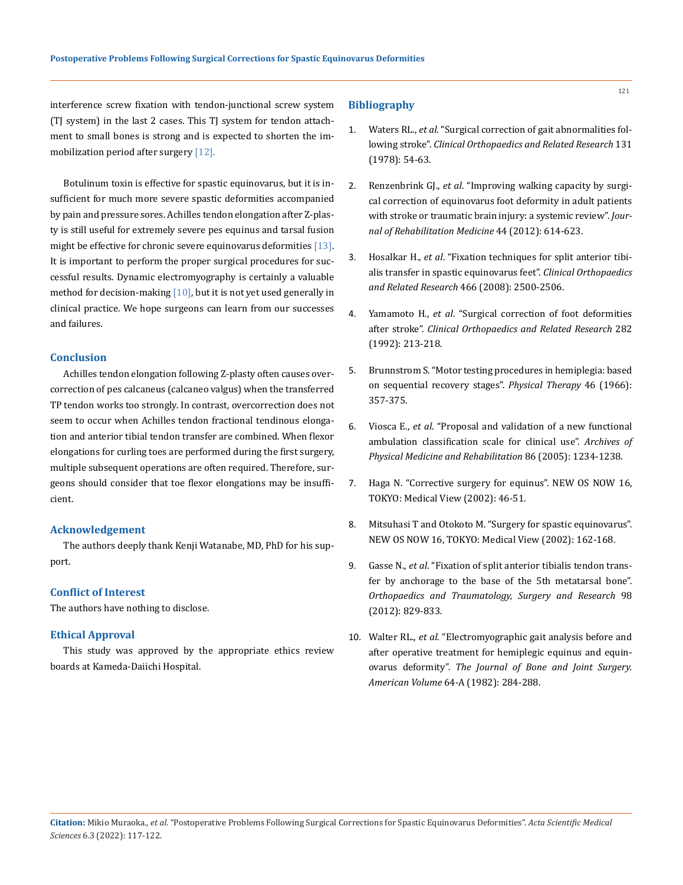interference screw fixation with tendon-junctional screw system (TJ system) in the last 2 cases. This TJ system for tendon attachment to small bones is strong and is expected to shorten the immobilization period after surgery [12].

Botulinum toxin is effective for spastic equinovarus, but it is insufficient for much more severe spastic deformities accompanied by pain and pressure sores. Achilles tendon elongation after Z-plasty is still useful for extremely severe pes equinus and tarsal fusion might be effective for chronic severe equinovarus deformities [13]. It is important to perform the proper surgical procedures for successful results. Dynamic electromyography is certainly a valuable method for decision-making  $[10]$ , but it is not yet used generally in clinical practice. We hope surgeons can learn from our successes and failures.

## **Conclusion**

Achilles tendon elongation following Z-plasty often causes overcorrection of pes calcaneus (calcaneo valgus) when the transferred TP tendon works too strongly. In contrast, overcorrection does not seem to occur when Achilles tendon fractional tendinous elongation and anterior tibial tendon transfer are combined. When flexor elongations for curling toes are performed during the first surgery, multiple subsequent operations are often required. Therefore, surgeons should consider that toe flexor elongations may be insufficient.

### **Acknowledgement**

The authors deeply thank Kenji Watanabe, MD, PhD for his support.

#### **Conflict of Interest**

The authors have nothing to disclose.

### **Ethical Approval**

This study was approved by the appropriate ethics review boards at Kameda-Daiichi Hospital.

### **Bibliography**

- 1. Waters RL., *et al*[. "Surgical correction of gait abnormalities fol](https://pubmed.ncbi.nlm.nih.gov/657645/)lowing stroke". *[Clinical Orthopaedics and Related Research](https://pubmed.ncbi.nlm.nih.gov/657645/)* 131 [\(1978\): 54-63.](https://pubmed.ncbi.nlm.nih.gov/657645/)
- 2. Renzenbrink GJ., *et al*[. "Improving walking capacity by surgi](https://pubmed.ncbi.nlm.nih.gov/22729787/)[cal correction of equinovarus foot deformity in adult patients](https://pubmed.ncbi.nlm.nih.gov/22729787/)  [with stroke or traumatic brain injury: a systemic review".](https://pubmed.ncbi.nlm.nih.gov/22729787/) *Jour[nal of Rehabilitation Medicine](https://pubmed.ncbi.nlm.nih.gov/22729787/)* 44 (2012): 614-623.
- 3. Hosalkar H., *et al*[. "Fixation techniques for split anterior tibi](https://pubmed.ncbi.nlm.nih.gov/18648897/)[alis transfer in spastic equinovarus feet".](https://pubmed.ncbi.nlm.nih.gov/18648897/) *Clinical Orthopaedics and Related Research* [466 \(2008\): 2500-2506.](https://pubmed.ncbi.nlm.nih.gov/18648897/)
- 4. Yamamoto H., *et al*. "Surgical correction of foot deformities after stroke". *Clinical Orthopaedics and Related Research* 282 (1992): 213-218.
- 5. [Brunnstrom S. "Motor testing procedures in hemiplegia: based](https://academic.oup.com/ptj/article/46/4/357/4616501)  [on sequential recovery stages".](https://academic.oup.com/ptj/article/46/4/357/4616501) *Physical Therapy* 46 (1966): [357-375.](https://academic.oup.com/ptj/article/46/4/357/4616501)
- 6. Viosca E., *et al*[. "Proposal and validation of a new functional](https://pubmed.ncbi.nlm.nih.gov/15954065/)  [ambulation classification scale for clinical use".](https://pubmed.ncbi.nlm.nih.gov/15954065/) *Archives of [Physical Medicine and Rehabilitation](https://pubmed.ncbi.nlm.nih.gov/15954065/)* 86 (2005): 1234-1238.
- 7. Haga N. "Corrective surgery for equinus". NEW OS NOW 16, TOKYO: Medical View (2002): 46-51.
- 8. Mitsuhasi T and Otokoto M. "Surgery for spastic equinovarus". NEW OS NOW 16, TOKYO: Medical View (2002): 162-168.
- 9. Gasse N., *et al*[. "Fixation of split anterior tibialis tendon trans](https://pubmed.ncbi.nlm.nih.gov/23062446/)[fer by anchorage to the base of the 5th metatarsal bone".](https://pubmed.ncbi.nlm.nih.gov/23062446/)  *[Orthopaedics and Traumatology, Surgery and Research](https://pubmed.ncbi.nlm.nih.gov/23062446/)* 98 [\(2012\): 829-833.](https://pubmed.ncbi.nlm.nih.gov/23062446/)
- 10. Walter RL., *et al*[. "Electromyographic gait analysis before and](https://pubmed.ncbi.nlm.nih.gov/7056784/)  [after operative treatment for hemiplegic equinus and equin](https://pubmed.ncbi.nlm.nih.gov/7056784/)ovarus deformity". *[The Journal of Bone and Joint Surgery.](https://pubmed.ncbi.nlm.nih.gov/7056784/)  American Volume* [64-A \(1982\): 284-288.](https://pubmed.ncbi.nlm.nih.gov/7056784/)

121